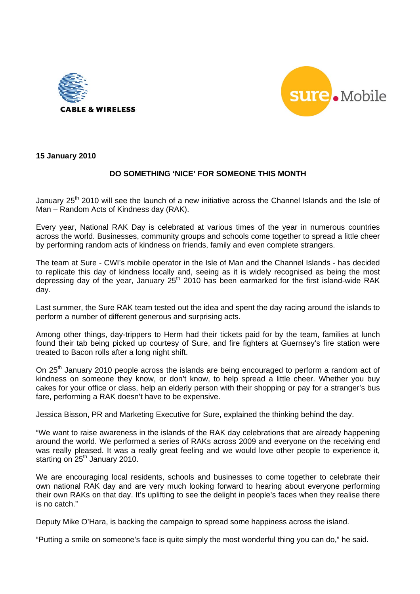



**15 January 2010** 

# **DO SOMETHING 'NICE' FOR SOMEONE THIS MONTH**

January 25<sup>th</sup> 2010 will see the launch of a new initiative across the Channel Islands and the Isle of Man – Random Acts of Kindness day (RAK).

Every year, National RAK Day is celebrated at various times of the year in numerous countries across the world. Businesses, community groups and schools come together to spread a little cheer by performing random acts of kindness on friends, family and even complete strangers.

The team at Sure - CWI's mobile operator in the Isle of Man and the Channel Islands - has decided to replicate this day of kindness locally and, seeing as it is widely recognised as being the most depressing day of the year, January  $25<sup>th</sup>$  2010 has been earmarked for the first island-wide RAK day.

Last summer, the Sure RAK team tested out the idea and spent the day racing around the islands to perform a number of different generous and surprising acts.

Among other things, day-trippers to Herm had their tickets paid for by the team, families at lunch found their tab being picked up courtesy of Sure, and fire fighters at Guernsey's fire station were treated to Bacon rolls after a long night shift.

On 25<sup>th</sup> January 2010 people across the islands are being encouraged to perform a random act of kindness on someone they know, or don't know, to help spread a little cheer. Whether you buy cakes for your office or class, help an elderly person with their shopping or pay for a stranger's bus fare, performing a RAK doesn't have to be expensive.

Jessica Bisson, PR and Marketing Executive for Sure, explained the thinking behind the day.

"We want to raise awareness in the islands of the RAK day celebrations that are already happening around the world. We performed a series of RAKs across 2009 and everyone on the receiving end was really pleased. It was a really great feeling and we would love other people to experience it, starting on  $25<sup>th</sup>$  January 2010.

We are encouraging local residents, schools and businesses to come together to celebrate their own national RAK day and are very much looking forward to hearing about everyone performing their own RAKs on that day. It's uplifting to see the delight in people's faces when they realise there is no catch."

Deputy Mike O'Hara, is backing the campaign to spread some happiness across the island.

"Putting a smile on someone's face is quite simply the most wonderful thing you can do," he said.